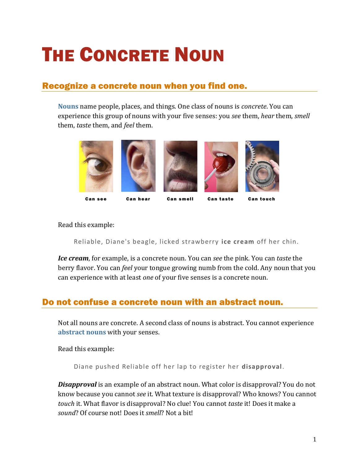## THE CONCRETE NOUN

## Recognize a concrete noun when you find one.

**[Nouns](https://chompchomp.com/terms/noun.htm)** name people, places, and things. One class of nouns is *concrete*. You can experience this group of nouns with your five senses: you *see* them, *hear* them, *smell* them, *taste* them, and *feel* them.



Can see Can hear Can smell Can taste Can touch

Read this example:

Reliable, Diane's beagle, licked strawberry **ice cream** off her chin.

*Ice cream*, for example, is a concrete noun. You can *see* the pink. You can *taste* the berry flavor. You can *feel* your tongue growing numb from the cold. Any noun that you can experience with at least *one* of your five senses is a concrete noun.

## Do not confuse a concrete noun with an abstract noun.

Not all nouns are concrete. A second class of nouns is abstract. You cannot experience **[abstract nouns](https://chompchomp.com/terms/abstractnoun.htm)** with your senses.

Read this example:

Diane pushed Reliable off her lap to register her **disapproval**.

*Disapproval* is an example of an abstract noun. What color is disapproval? You do not know because you cannot *see* it. What texture is disapproval? Who knows? You cannot *touch* it. What flavor is disapproval? No clue! You cannot *taste* it! Does it make a *sound*? Of course not! Does it *smell*? Not a bit!